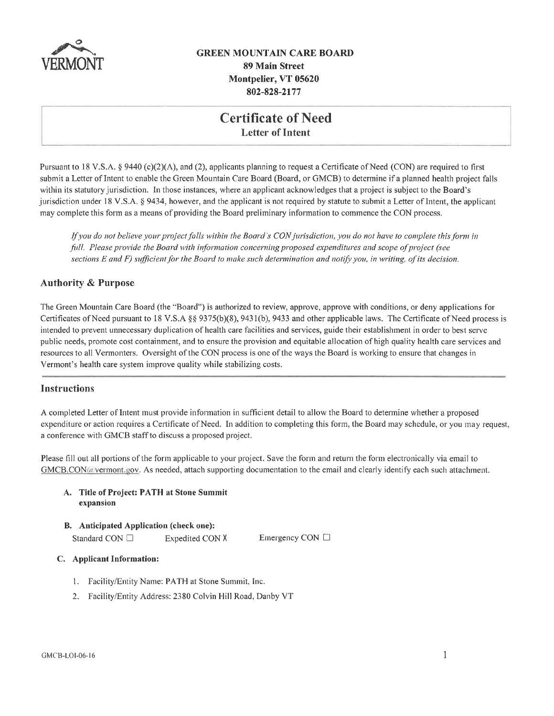

## **GREEN MOUNTAIN CARE BOARD 89 Main Street** Montpelier, VT 05620 802-828-2177

## **Certificate of Need Letter of Intent**

Pursuant to 18 V.S.A. § 9440 (c)(2)(A), and (2), applicants planning to request a Certificate of Need (CON) are required to first submit a Letter of Intent to enable the Green Mountain Care Board (Board, or GMCB) to determine if a planned health project falls within its statutory jurisdiction. In those instances, where an applicant acknowledges that a project is subject to the Board's jurisdiction under 18 V.S.A. § 9434, however, and the applicant is not required by statute to submit a Letter of Intent, the applicant may complete this form as a means of providing the Board preliminary information to commence the CON process.

If you do not believe your project falls within the Board's CON jurisdiction, you do not have to complete this form in full. Please provide the Board with information concerning proposed expenditures and scope of project (see sections E and F) sufficient for the Board to make such determination and notify you, in writing, of its decision.

### **Authority & Purpose**

The Green Mountain Care Board (the "Board") is authorized to review, approve, approve with conditions, or deny applications for Certificates of Need pursuant to 18 V.S.A §§ 9375(b)(8), 9431(b), 9433 and other applicable laws. The Certificate of Need process is intended to prevent unnecessary duplication of health care facilities and services, guide their establishment in order to best serve public needs, promote cost containment, and to ensure the provision and equitable allocation of high quality health care services and resources to all Vermonters. Oversight of the CON process is one of the ways the Board is working to ensure that changes in Vermont's health care system improve quality while stabilizing costs.

#### **Instructions**

A completed Letter of Intent must provide information in sufficient detail to allow the Board to determine whether a proposed expenditure or action requires a Certificate of Need. In addition to completing this form, the Board may schedule, or you may request, a conference with GMCB staff to discuss a proposed project.

Please fill out all portions of the form applicable to your project. Save the form and return the form electronically via email to GMCB.CON(a vermont.gov. As needed, attach supporting documentation to the email and clearly identify each such attachment.

#### A. Title of Project: PATH at Stone Summit expansion

#### B. Anticipated Application (check one):

Standard CON □ Expedited CON X

Emergency CON □

#### C. Applicant Information:

- 1. Facility/Entity Name: PATH at Stone Summit, Inc.
- 2. Facility/Entity Address: 2380 Colvin Hill Road, Danby VT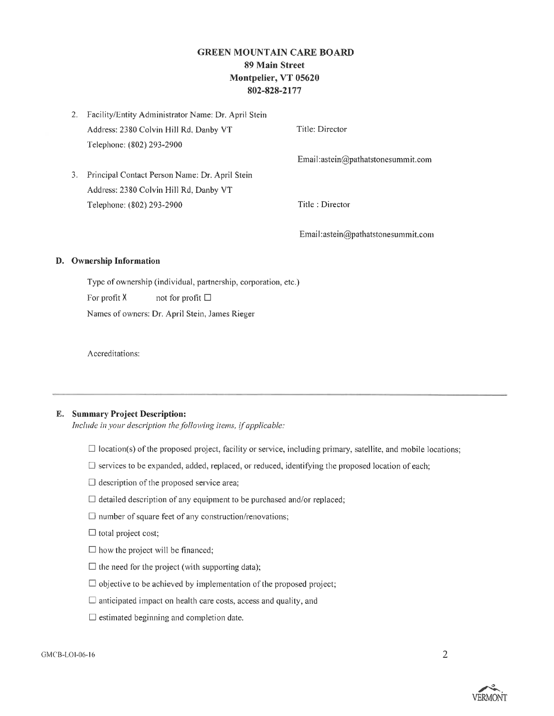## **GREEN MOUNTAIN CARE BOARD** 89 Main Street Montpelier, VT 05620 802-828-2177

|    | 2. Facility/Entity Administrator Name: Dr. April Stein |                                    |
|----|--------------------------------------------------------|------------------------------------|
|    | Address: 2380 Colvin Hill Rd, Danby VT                 | Title: Director                    |
|    | Telephone: (802) 293-2900                              |                                    |
|    |                                                        | Email:astein@pathatstonesummit.com |
| 3. | Principal Contact Person Name: Dr. April Stein         |                                    |
|    | Address: 2380 Colvin Hill Rd, Danby VT                 |                                    |
|    | Telephone: (802) 293-2900                              | Title : Director                   |
|    |                                                        |                                    |

Email:astein@pathatstonesummit.com

#### D. Ownership Information

Type of ownership (individual, partnership, corporation, etc.) For profit X not for profit  $\square$ 

Names of owners: Dr. April Stein, James Rieger

Accreditations:

#### **E.** Summary Project Description:

Include in your description the following items, if applicable:

- $\Box$  location(s) of the proposed project, facility or service, including primary, satellite, and mobile locations;
- $\Box$  services to be expanded, added, replaced, or reduced, identifying the proposed location of each;
- $\Box$  description of the proposed service area;
- $\Box$  detailed description of any equipment to be purchased and/or replaced;
- $\square$  number of square feet of any construction/renovations;
- $\Box$  total project cost;
- $\square$  how the project will be financed;
- $\Box$  the need for the project (with supporting data);
- $\Box$  objective to be achieved by implementation of the proposed project;
- $\Box$  anticipated impact on health care costs, access and quality, and
- $\Box$  estimated beginning and completion date.

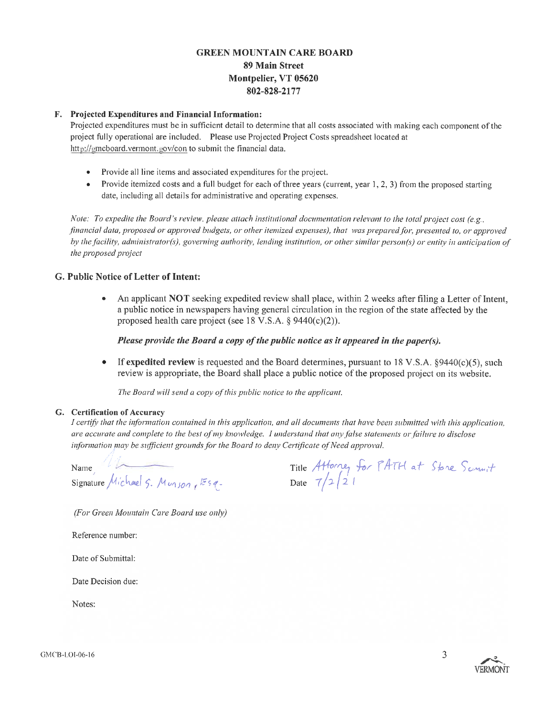## **GREEN MOUNTAIN CARE BOARD** 89 Main Street Montpelier, VT 05620 802-828-2177

### F. Projected Expenditures and Financial Information:

Projected expenditures must be in sufficient detail to determine that all costs associated with making each component of the project fully operational are included. Please use Projected Project Costs spreadsheet located at http://gmcboard.vermont.gov/con to submit the financial data.

- Provide all line items and associated expenditures for the project.
- Provide itemized costs and a full budget for each of three years (current, year 1, 2, 3) from the proposed starting  $\bullet$ date, including all details for administrative and operating expenses.

Note: To expedite the Board's review, please attach institutional documentation relevant to the total project cost (e.g., financial data, proposed or approved budgets, or other itemized expenses), that was prepared for, presented to, or approved by the facility, administrator(s), governing authority, lending institution, or other similar person(s) or entity in anticipation of the proposed project

### G. Public Notice of Letter of Intent:

An applicant NOT seeking expedited review shall place, within 2 weeks after filing a Letter of Intent, a public notice in newspapers having general circulation in the region of the state affected by the proposed health care project (see 18 V.S.A.  $\S$  9440(c)(2)).

Please provide the Board a copy of the public notice as it appeared in the paper(s).

 $\bullet$ If expedited review is requested and the Board determines, pursuant to 18 V.S.A.  $\S 9440(c)(5)$ , such review is appropriate, the Board shall place a public notice of the proposed project on its website.

The Board will send a copy of this public notice to the applicant.

#### G. Certification of Accuracy

I certify that the information contained in this application, and all documents that have been submitted with this application, are accurate and complete to the best of my knowledge. I understand that any false statements or failure to disclose information may be sufficient grounds for the Board to deny Certificate of Need approval.

Name Name<br>Signature Michael 5. Munson, Esq.

Title Attorney for PATH at Stone Sommit<br>Date 7/2/21

(For Green Mountain Care Board use only)

Reference number:

Date of Submittal:

Date Decision due:

Notes:



3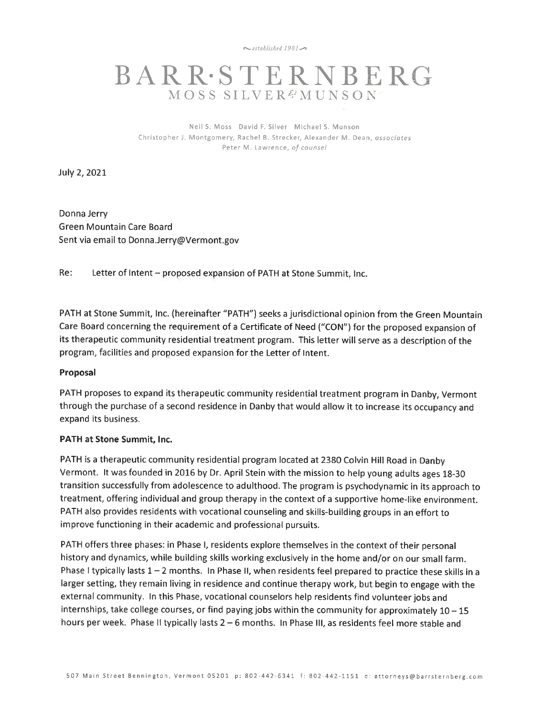$\sim$ established 1981 $\sim$ 

# **BARR·STERNBERG MOSS SILVER&MUNSON**

Neil S. Moss David F. Silver Michael S. Munson Christopher J. Montgomery, Rachel B. Strecker, Alexander M. Dean, associates Peter M. Lawrence, of counsel

July 2, 2021

Donna Jerry Green Mountain Care Board Sent via email to Donna.Jerry@Vermont.gov

Re: Letter of Intent - proposed expansion of PATH at Stone Summit, Inc.

PATH at Stone Summit, Inc. (hereinafter "PATH") seeks a jurisdictional opinion from the Green Mountain Care Board concerning the requirement of a Certificate of Need ("CON") for the proposed expansion of its therapeutic community residential treatment program. This letter will serve as a description of the program, facilities and proposed expansion for the Letter of Intent.

#### Proposal

PATH proposes to expand its therapeutic community residential treatment program in Danby, Vermont through the purchase of a second residence in Danby that would allow it to increase its occupancy and expand its business.

#### PATH at Stone Summit, Inc.

PATH is a therapeutic community residential program located at 2380 Colvin Hill Road in Danby Vermont. It was founded in 2016 by Dr. April Stein with the mission to help young adults ages 18-30 transition successfully from adolescence to adulthood. The program is psychodynamic in its approach to treatment, offering individual and group therapy in the context of a supportive home-like environment. PATH also provides residents with vocational counseling and skills-building groups in an effort to improve functioning in their academic and professional pursuits.

PATH offers three phases: in Phase I, residents explore themselves in the context of their personal history and dynamics, while building skills working exclusively in the home and/or on our small farm. Phase I typically lasts  $1 - 2$  months. In Phase II, when residents feel prepared to practice these skills in a larger setting, they remain living in residence and continue therapy work, but begin to engage with the external community. In this Phase, vocational counselors help residents find volunteer jobs and internships, take college courses, or find paying jobs within the community for approximately  $10 - 15$ hours per week. Phase II typically lasts 2 - 6 months. In Phase III, as residents feel more stable and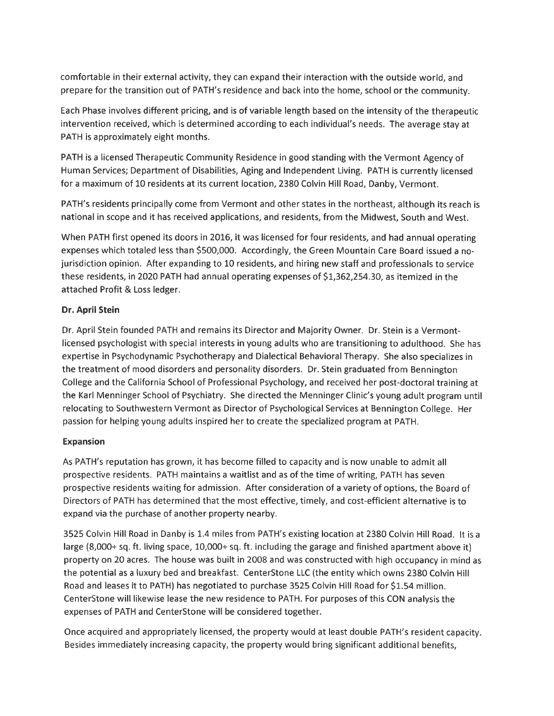comfortable in their external activity, they can expand their interaction with the outside world, and prepare for the transition out of PATH's residence and back into the home, school or the community.

Each Phase involves different pricing, and is of variable length based on the intensity of the therapeutic intervention received, which is determined according to each individual's needs. The average stay at PATH is approximately eight months.

PATH is a licensed Therapeutic Community Residence in good standing with the Vermont Agency of Human Services; Department of Disabilities, Aging and Independent Living. PATH is currently licensed for a maximum of 10 residents at its current location, 2380 Colvin Hill Road, Danby, Vermont.

PATH's residents principally come from Vermont and other states in the northeast, although its reach is national in scope and it has received applications, and residents, from the Midwest, South and West.

When PATH first opened its doors in 2016, it was licensed for four residents, and had annual operating expenses which totaled less than \$500,000. Accordingly, the Green Mountain Care Board issued a nojurisdiction opinion. After expanding to 10 residents, and hiring new staff and professionals to service these residents, in 2020 PATH had annual operating expenses of \$1,362,254.30, as itemized in the attached Profit & Loss ledger.

## Dr. April Stein

Dr. April Stein founded PATH and remains its Director and Majority Owner. Dr. Stein is a Vermontlicensed psychologist with special interests in young adults who are transitioning to adulthood. She has expertise in Psychodynamic Psychotherapy and Dialectical Behavioral Therapy. She also specializes in the treatment of mood disorders and personality disorders. Dr. Stein graduated from Bennington College and the California School of Professional Psychology, and received her post-doctoral training at the Karl Menninger School of Psychiatry. She directed the Menninger Clinic's young adult program until relocating to Southwestern Vermont as Director of Psychological Services at Bennington College. Her passion for helping young adults inspired her to create the specialized program at PATH.

## **Expansion**

As PATH's reputation has grown, it has become filled to capacity and is now unable to admit all prospective residents. PATH maintains a waitlist and as of the time of writing, PATH has seven prospective residents waiting for admission. After consideration of a variety of options, the Board of Directors of PATH has determined that the most effective, timely, and cost-efficient alternative is to expand via the purchase of another property nearby.

3525 Colvin Hill Road in Danby is 1.4 miles from PATH's existing location at 2380 Colvin Hill Road. It is a large (8,000+ sq. ft. living space, 10,000+ sq. ft. including the garage and finished apartment above it) property on 20 acres. The house was built in 2008 and was constructed with high occupancy in mind as the potential as a luxury bed and breakfast. CenterStone LLC (the entity which owns 2380 Colvin Hill Road and leases it to PATH) has negotiated to purchase 3525 Colvin Hill Road for \$1.54 million. CenterStone will likewise lease the new residence to PATH. For purposes of this CON analysis the expenses of PATH and CenterStone will be considered together.

Once acquired and appropriately licensed, the property would at least double PATH's resident capacity. Besides immediately increasing capacity, the property would bring significant additional benefits,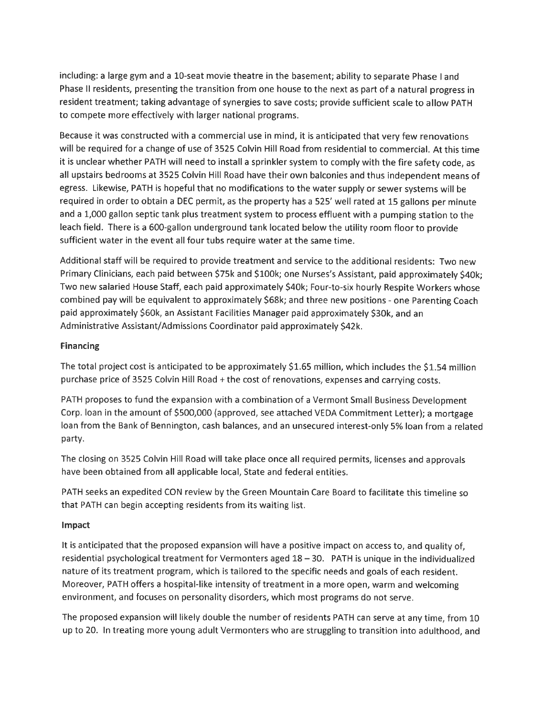including: a large gym and a 10-seat movie theatre in the basement; ability to separate Phase Land Phase II residents, presenting the transition from one house to the next as part of a natural progress in resident treatment; taking advantage of synergies to save costs; provide sufficient scale to allow PATH to compete more effectively with larger national programs.

Because it was constructed with a commercial use in mind, it is anticipated that very few renovations will be required for a change of use of 3525 Colvin Hill Road from residential to commercial. At this time it is unclear whether PATH will need to install a sprinkler system to comply with the fire safety code, as all upstairs bedrooms at 3525 Colvin Hill Road have their own balconies and thus independent means of egress. Likewise, PATH is hopeful that no modifications to the water supply or sewer systems will be required in order to obtain a DEC permit, as the property has a 525' well rated at 15 gallons per minute and a 1,000 gallon septic tank plus treatment system to process effluent with a pumping station to the leach field. There is a 600-gallon underground tank located below the utility room floor to provide sufficient water in the event all four tubs require water at the same time.

Additional staff will be required to provide treatment and service to the additional residents: Two new Primary Clinicians, each paid between \$75k and \$100k; one Nurses's Assistant, paid approximately \$40k; Two new salaried House Staff, each paid approximately \$40k; Four-to-six hourly Respite Workers whose combined pay will be equivalent to approximately \$68k; and three new positions - one Parenting Coach paid approximately \$60k, an Assistant Facilities Manager paid approximately \$30k, and an Administrative Assistant/Admissions Coordinator paid approximately \$42k.

## **Financing**

The total project cost is anticipated to be approximately \$1.65 million, which includes the \$1.54 million purchase price of 3525 Colvin Hill Road + the cost of renovations, expenses and carrying costs.

PATH proposes to fund the expansion with a combination of a Vermont Small Business Development Corp. loan in the amount of \$500,000 (approved, see attached VEDA Commitment Letter); a mortgage loan from the Bank of Bennington, cash balances, and an unsecured interest-only 5% loan from a related party.

The closing on 3525 Colvin Hill Road will take place once all required permits, licenses and approvals have been obtained from all applicable local, State and federal entities.

PATH seeks an expedited CON review by the Green Mountain Care Board to facilitate this timeline so that PATH can begin accepting residents from its waiting list.

## Impact

It is anticipated that the proposed expansion will have a positive impact on access to, and quality of, residential psychological treatment for Vermonters aged 18 - 30. PATH is unique in the individualized nature of its treatment program, which is tailored to the specific needs and goals of each resident. Moreover, PATH offers a hospital-like intensity of treatment in a more open, warm and welcoming environment, and focuses on personality disorders, which most programs do not serve.

The proposed expansion will likely double the number of residents PATH can serve at any time, from 10 up to 20. In treating more young adult Vermonters who are struggling to transition into adulthood, and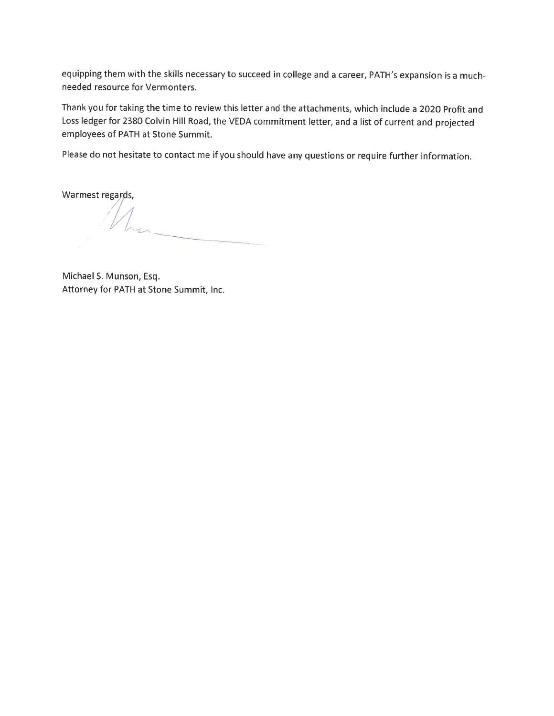equipping them with the skills necessary to succeed in college and a career, PATH's expansion is a muchneeded resource for Vermonters.

Thank you for taking the time to review this letter and the attachments, which include a 2020 Profit and Loss ledger for 2380 Colvin Hill Road, the VEDA commitment letter, and a list of current and projected employees of PATH at Stone Summit.

Please do not hesitate to contact me if you should have any questions or require further information.

Warmest regards,

Michael S. Munson, Esq. Attorney for PATH at Stone Summit, Inc.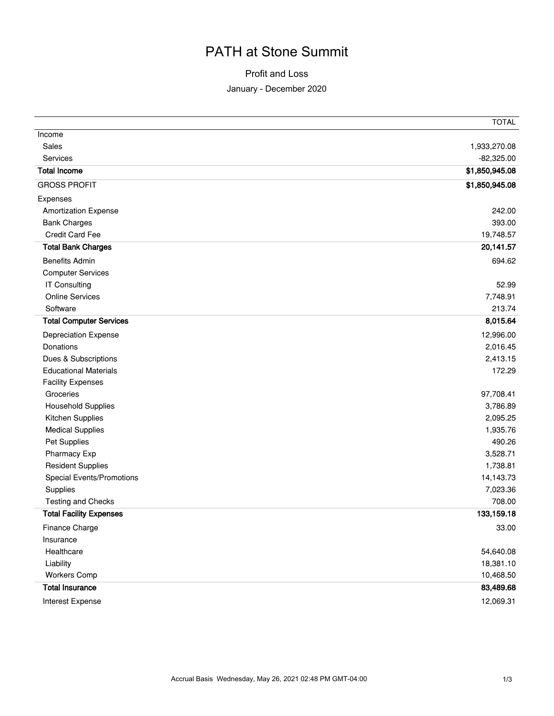# PATH at Stone Summit

## Profit and Loss

### January - December 2020

|                                | <b>TOTAL</b>   |
|--------------------------------|----------------|
| Income                         |                |
| Sales                          | 1,933,270.08   |
| Services                       | $-82,325.00$   |
| <b>Total Income</b>            | \$1,850,945.08 |
| <b>GROSS PROFIT</b>            | \$1,850,945.08 |
| Expenses                       |                |
| <b>Amortization Expense</b>    | 242.00         |
| <b>Bank Charges</b>            | 393.00         |
| <b>Credit Card Fee</b>         | 19,748.57      |
| <b>Total Bank Charges</b>      | 20,141.57      |
| <b>Benefits Admin</b>          | 694.62         |
| <b>Computer Services</b>       |                |
| <b>IT Consulting</b>           | 52.99          |
| <b>Online Services</b>         | 7,748.91       |
| Software                       | 213.74         |
| <b>Total Computer Services</b> | 8,015.64       |
| Depreciation Expense           | 12,996.00      |
| Donations                      | 2,016.45       |
| Dues & Subscriptions           | 2,413.15       |
| <b>Educational Materials</b>   | 172.29         |
| <b>Facility Expenses</b>       |                |
| Groceries                      | 97,708.41      |
| <b>Household Supplies</b>      | 3,786.89       |
| Kitchen Supplies               | 2,095.25       |
| <b>Medical Supplies</b>        | 1,935.76       |
| Pet Supplies                   | 490.26         |
| Pharmacy Exp                   | 3,528.71       |
| <b>Resident Supplies</b>       | 1,738.81       |
| Special Events/Promotions      | 14,143.73      |
| Supplies                       | 7,023.36       |
| Testing and Checks             | 708.00         |
| <b>Total Facility Expenses</b> | 133,159.18     |
| Finance Charge                 | 33.00          |
| Insurance                      |                |
| Healthcare                     | 54,640.08      |
| Liability                      | 18,381.10      |
| <b>Workers Comp</b>            | 10,468.50      |
| <b>Total Insurance</b>         | 83,489.68      |
| Interest Expense               | 12,069.31      |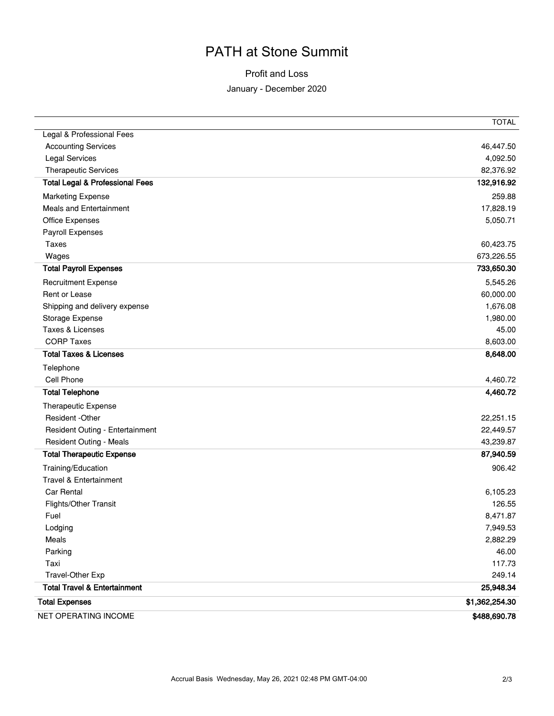# PATH at Stone Summit

## Profit and Loss

#### January - December 2020

|                                            | <b>TOTAL</b>   |
|--------------------------------------------|----------------|
| Legal & Professional Fees                  |                |
| <b>Accounting Services</b>                 | 46,447.50      |
| <b>Legal Services</b>                      | 4,092.50       |
| <b>Therapeutic Services</b>                | 82,376.92      |
| <b>Total Legal &amp; Professional Fees</b> | 132,916.92     |
| <b>Marketing Expense</b>                   | 259.88         |
| <b>Meals and Entertainment</b>             | 17,828.19      |
| Office Expenses                            | 5,050.71       |
| Payroll Expenses                           |                |
| <b>Taxes</b>                               | 60,423.75      |
| Wages                                      | 673,226.55     |
| <b>Total Payroll Expenses</b>              | 733,650.30     |
| <b>Recruitment Expense</b>                 | 5,545.26       |
| Rent or Lease                              | 60,000.00      |
| Shipping and delivery expense              | 1,676.08       |
| Storage Expense                            | 1,980.00       |
| Taxes & Licenses                           | 45.00          |
| <b>CORP Taxes</b>                          | 8,603.00       |
| <b>Total Taxes &amp; Licenses</b>          | 8,648.00       |
| Telephone                                  |                |
| Cell Phone                                 | 4,460.72       |
| <b>Total Telephone</b>                     | 4,460.72       |
| Therapeutic Expense                        |                |
| Resident - Other                           | 22,251.15      |
| Resident Outing - Entertainment            | 22,449.57      |
| Resident Outing - Meals                    | 43,239.87      |
| <b>Total Therapeutic Expense</b>           | 87,940.59      |
| Training/Education                         | 906.42         |
| Travel & Entertainment                     |                |
| <b>Car Rental</b>                          | 6,105.23       |
| Flights/Other Transit                      | 126.55         |
| Fuel                                       | 8,471.87       |
| Lodging                                    | 7,949.53       |
| Meals                                      | 2,882.29       |
| Parking                                    | 46.00          |
| Taxi                                       | 117.73         |
| Travel-Other Exp                           | 249.14         |
| <b>Total Travel &amp; Entertainment</b>    | 25,948.34      |
| <b>Total Expenses</b>                      | \$1,362,254.30 |
| NET OPERATING INCOME                       | \$488,690.78   |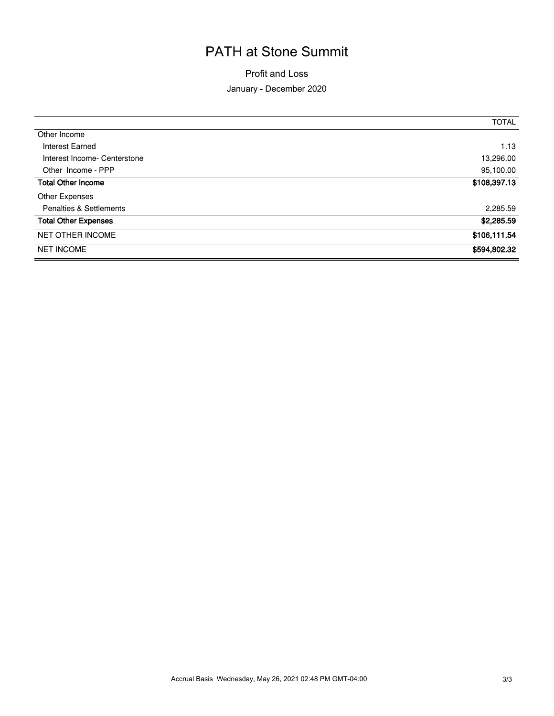# PATH at Stone Summit

Profit and Loss

### January - December 2020

|                              | <b>TOTAL</b> |
|------------------------------|--------------|
| Other Income                 |              |
| Interest Earned              | 1.13         |
| Interest Income- Centerstone | 13,296.00    |
| Other Income - PPP           | 95,100.00    |
| <b>Total Other Income</b>    | \$108,397.13 |
| Other Expenses               |              |
| Penalties & Settlements      | 2,285.59     |
| <b>Total Other Expenses</b>  | \$2,285.59   |
| <b>NET OTHER INCOME</b>      | \$106,111.54 |
| <b>NET INCOME</b>            | \$594,802.32 |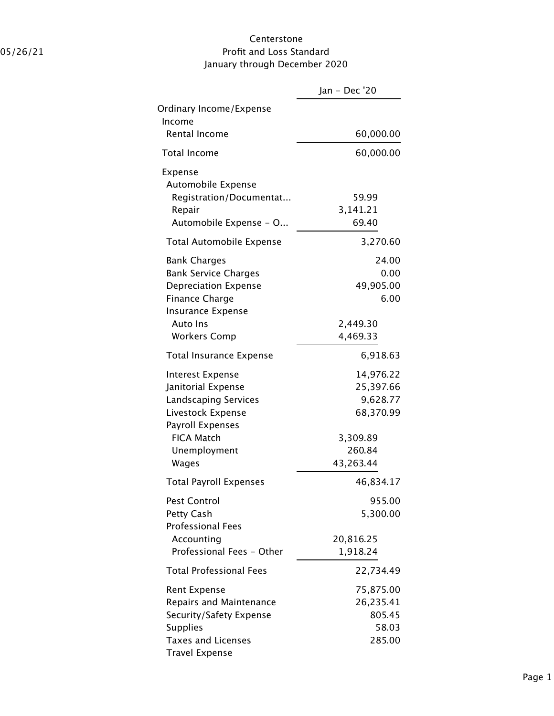## Centerstone 05/26/21 Profit and Loss Standard January through December 2020

|                                                                                                                                        | Jan - Dec '20                                       |
|----------------------------------------------------------------------------------------------------------------------------------------|-----------------------------------------------------|
| Ordinary Income/Expense<br>Income                                                                                                      |                                                     |
| Rental Income                                                                                                                          | 60,000.00                                           |
| <b>Total Income</b>                                                                                                                    | 60,000.00                                           |
| Expense<br>Automobile Expense<br>Registration/Documentat<br>Repair<br>Automobile Expense - O                                           | 59.99<br>3,141.21<br>69.40                          |
| <b>Total Automobile Expense</b>                                                                                                        | 3,270.60                                            |
| <b>Bank Charges</b><br><b>Bank Service Charges</b><br><b>Depreciation Expense</b><br><b>Finance Charge</b><br><b>Insurance Expense</b> | 24.00<br>0.00<br>49,905.00<br>6.00                  |
| <b>Auto Ins</b>                                                                                                                        | 2,449.30                                            |
| <b>Workers Comp</b>                                                                                                                    | 4,469.33                                            |
| Total Insurance Expense                                                                                                                | 6,918.63                                            |
| <b>Interest Expense</b><br>Janitorial Expense<br><b>Landscaping Services</b><br>Livestock Expense<br>Payroll Expenses                  | 14,976.22<br>25,397.66<br>9,628.77<br>68,370.99     |
| <b>FICA Match</b><br>Unemployment<br>Wages                                                                                             | 3,309.89<br>260.84<br>43,263.44                     |
| <b>Total Payroll Expenses</b>                                                                                                          | 46,834.17                                           |
| <b>Pest Control</b><br>Petty Cash<br><b>Professional Fees</b>                                                                          | 955.00<br>5,300.00                                  |
| Accounting<br>Professional Fees - Other                                                                                                | 20,816.25<br>1,918.24                               |
| <b>Total Professional Fees</b>                                                                                                         | 22,734.49                                           |
| Rent Expense<br>Repairs and Maintenance<br>Security/Safety Expense<br><b>Supplies</b><br>Taxes and Licenses<br><b>Travel Expense</b>   | 75,875.00<br>26,235.41<br>805.45<br>58.03<br>285.00 |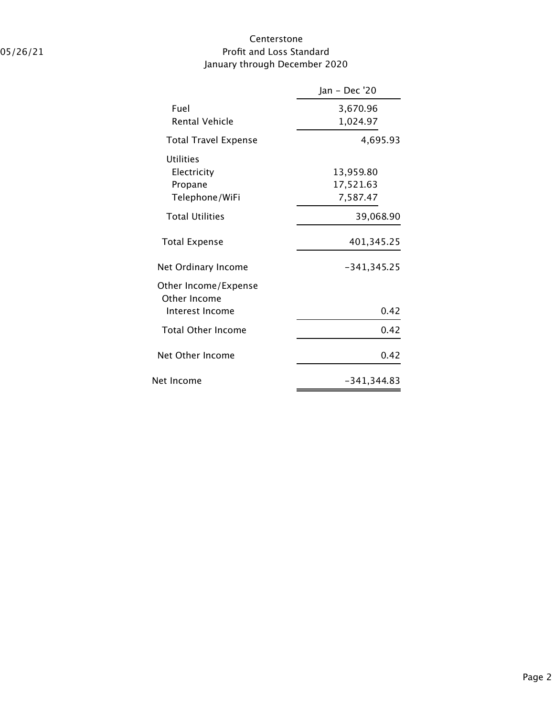## Centerstone 05/26/21 Profit and Loss Standard January through December 2020

|                                      | Jan - Dec '20 |
|--------------------------------------|---------------|
| Fuel                                 | 3,670.96      |
| <b>Rental Vehicle</b>                | 1,024.97      |
| <b>Total Travel Expense</b>          | 4,695.93      |
| <b>Utilities</b><br>Electricity      | 13,959.80     |
| Propane                              | 17,521.63     |
| Telephone/WiFi                       | 7,587.47      |
| <b>Total Utilities</b>               | 39,068.90     |
| <b>Total Expense</b>                 | 401,345.25    |
| Net Ordinary Income                  | $-341,345.25$ |
| Other Income/Expense<br>Other Income |               |
| Interest Income                      | 0.42          |
| <b>Total Other Income</b>            | 0.42          |
| Net Other Income                     | 0.42          |
| Net Income                           | -341,344.83   |